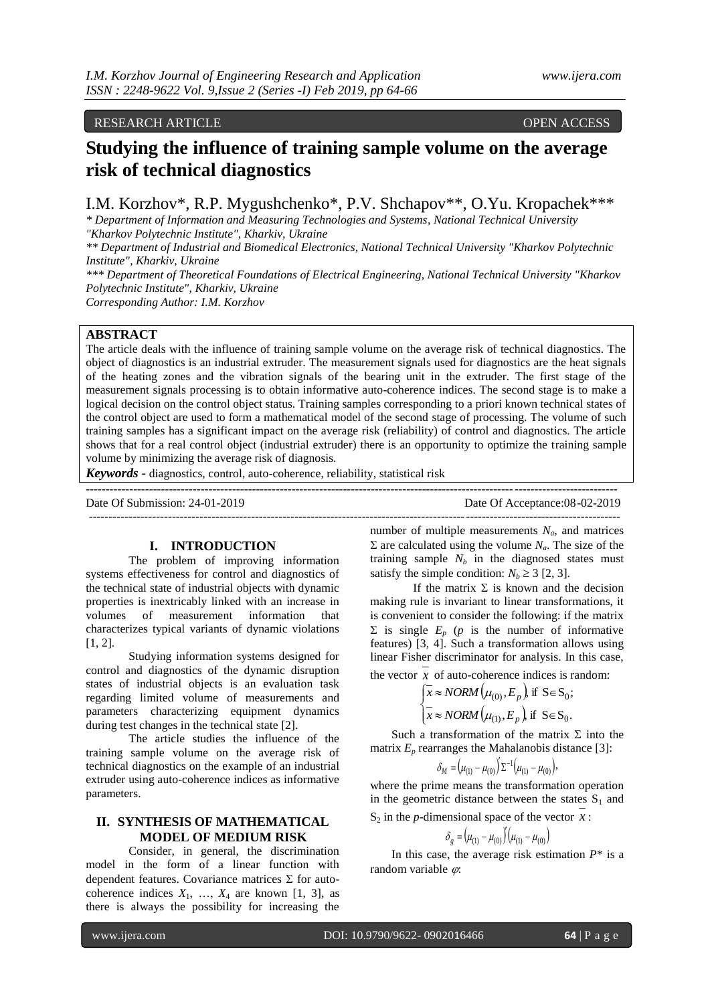# RESEARCH ARTICLE OPEN ACCESS

# **Studying the influence of training sample volume on the average risk of technical diagnostics**

I.M. Korzhov\*, R.P. Mygushchenko\*, P.V. Shchapov\*\*, O.Yu. Kropachek\*\*\*

*\* Department of Information and Measuring Technologies and Systems, National Technical University "Kharkov Polytechnic Institute", Kharkiv, Ukraine*

*\*\* Department of Industrial and Biomedical Electronics, National Technical University "Kharkov Polytechnic Institute", Kharkiv, Ukraine*

*\*\*\* Department of Theoretical Foundations of Electrical Engineering, National Technical University "Kharkov Polytechnic Institute", Kharkiv, Ukraine*

*Corresponding Author: I.M. Korzhov*

# **ABSTRACT**

The article deals with the influence of training sample volume on the average risk of technical diagnostics. The object of diagnostics is an industrial extruder. The measurement signals used for diagnostics are the heat signals of the heating zones and the vibration signals of the bearing unit in the extruder. The first stage of the measurement signals processing is to obtain informative auto-coherence indices. The second stage is to make a logical decision on the control object status. Training samples corresponding to a priori known technical states of the control object are used to form a mathematical model of the second stage of processing. The volume of such training samples has a significant impact on the average risk (reliability) of control and diagnostics. The article shows that for a real control object (industrial extruder) there is an opportunity to optimize the training sample volume by minimizing the average risk of diagnosis.

--------------------------------------------------------------------------------------------------------------------------------------

*Keywords* **-** diagnostics, control, auto-coherence, reliability, statistical risk

Date Of Submission: 24-01-2019 Date Of Acceptance:08-02-2019

--------------------------------------------------------------------------------------------------------------------------------------

## **I. INTRODUCTION**

The problem of improving information systems effectiveness for control and diagnostics of the technical state of industrial objects with dynamic properties is inextricably linked with an increase in volumes of measurement information that characterizes typical variants of dynamic violations [1, 2].

Studying information systems designed for control and diagnostics of the dynamic disruption states of industrial objects is an evaluation task regarding limited volume of measurements and parameters characterizing equipment dynamics during test changes in the technical state [2].

The article studies the influence of the training sample volume on the average risk of technical diagnostics on the example of an industrial extruder using auto-coherence indices as informative parameters.

# **II. SYNTHESIS OF MATHEMATICAL MODEL OF MEDIUM RISK**

Consider, in general, the discrimination model in the form of a linear function with dependent features. Covariance matrices  $\Sigma$  for autocoherence indices  $X_1, \ldots, X_4$  are known [1, 3], as there is always the possibility for increasing the

number of multiple measurements  $N_a$ , and matrices  $\Sigma$  are calculated using the volume  $N_a$ . The size of the training sample  $N_b$  in the diagnosed states must satisfy the simple condition:  $N_b \geq 3$  [2, 3].

If the matrix  $\Sigma$  is known and the decision making rule is invariant to linear transformations, it is convenient to consider the following: if the matrix  $\Sigma$  is single  $E_p$  (*p* is the number of informative features) [3, 4]. Such a transformation allows using linear Fisher discriminator for analysis. In this case,

the vector  $x$  of auto-coherence indices is random:

$$
\begin{cases} \overline{x} \approx NORM(\mu_{(0)}, E_p), \text{if } S \in S_0; \\ \overline{x} \approx NORM(\mu_{(1)}, E_p), \text{if } S \in S_0. \end{cases}
$$

Such a transformation of the matrix  $\Sigma$  into the matrix  $E_p$  rearranges the Mahalanobis distance [3]:

$$
\delta_M = (\mu_{(1)} - \mu_{(0)}) \Sigma^{-1} (\mu_{(1)} - \mu_{(0)}),
$$

where the prime means the transformation operation in the geometric distance between the states  $S_1$  and  $S_2$  in the *p*-dimensional space of the vector *x*:

$$
\delta_g = (\mu_{(1)} - \mu_{(0)})' (\mu_{(1)} - \mu_{(0)})
$$

In this case, the average risk estimation  $P^*$  is a random variable  $\varphi$ :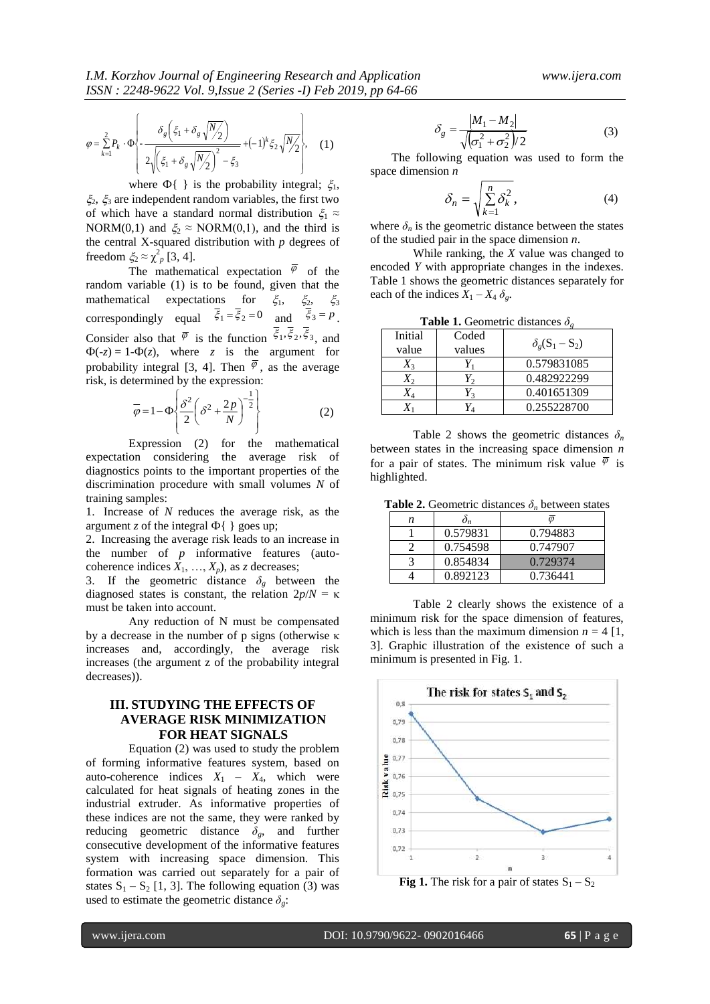$$
\varphi = \sum_{k=1}^{2} P_k \cdot \Phi \left\{ -\frac{\delta_g \left(\xi_1 + \delta_g \sqrt{N_2}\right)}{2\sqrt{\left(\xi_1 + \delta_g \sqrt{N_2}\right)^2 - \xi_3}} + (-1)^k \xi_2 \sqrt{N_2} \right\},\tag{1}
$$

where  $\Phi\{\}$  is the probability integral;  $\xi_1$ ,  $\zeta_2$ ,  $\zeta_3$  are independent random variables, the first two of which have a standard normal distribution  $\xi_1 \approx$ NORM(0,1) and  $\xi_2 \approx \text{NORM}(0,1)$ , and the third is the central X-squared distribution with *p* degrees of freedom  $\xi_2 \approx \chi^2_{p}$  [3, 4].

The mathematical expectation  $\varphi$  of the random variable (1) is to be found, given that the mathematical expectations for  $\xi_1$ ,  $\xi_2$ ,  $\xi_3$ correspondingly equal  $\overline{\xi}_1 = \overline{\xi}_2 = 0$  and  $\xi_3 = p$ . Consider also that  $\overline{\varphi}$  is the function  $\xi_1, \xi_2, \xi_3$ , and  $\Phi(-z) = 1-\Phi(z)$ , where *z* is the argument for probability integral [3, 4]. Then  $\varphi$ , as the average risk, is determined by the expression:

$$
\overline{\varphi} = 1 - \Phi \left\{ \frac{\delta^2}{2} \left( \delta^2 + \frac{2p}{N} \right)^{-\frac{1}{2}} \right\}
$$
 (2)

Expression (2) for the mathematical expectation considering the average risk of diagnostics points to the important properties of the discrimination procedure with small volumes *N* of training samples:

1. Increase of *N* reduces the average risk, as the argument *z* of the integral  $\Phi$ { } goes up;

2. Increasing the average risk leads to an increase in the number of *p* informative features (autocoherence indices  $X_1, \ldots, X_p$ , as *z* decreases;

3. If the geometric distance  $\delta_g$  between the diagnosed states is constant, the relation  $2p/N = \kappa$ must be taken into account.

Any reduction of N must be compensated by a decrease in the number of p signs (otherwise κ increases and, accordingly, the average risk increases (the argument z of the probability integral decreases)).

# **III. STUDYING THE EFFECTS OF AVERAGE RISK MINIMIZATION FOR HEAT SIGNALS**

Equation (2) was used to study the problem of forming informative features system, based on auto-coherence indices  $X_1 - X_4$ , which were calculated for heat signals of heating zones in the industrial extruder. As informative properties of these indices are not the same, they were ranked by reducing geometric distance *δg*, and further consecutive development of the informative features system with increasing space dimension. This formation was carried out separately for a pair of states  $S_1 - S_2$  [1, 3]. The following equation (3) was used to estimate the geometric distance  $\delta_{\varrho}$ :

$$
\delta_g = \frac{|M_1 - M_2|}{\sqrt{(\sigma_1^2 + \sigma_2^2)/2}}\tag{3}
$$

The following equation was used to form the space dimension *n*

$$
\delta_n = \sqrt{\sum_{k=1}^n \delta_k^2},\tag{4}
$$

where  $\delta_n$  is the geometric distance between the states of the studied pair in the space dimension *n*.

While ranking, the *X* value was changed to encoded *Y* with appropriate changes in the indexes. Table 1 shows the geometric distances separately for each of the indices  $X_1 - X_4 \delta_{\varphi}$ .

**Table 1.** Geometric distances  $\delta_{g}$ 

| Initial | Coded  | $\delta_{g}(S_1-S_2)$ |  |  |
|---------|--------|-----------------------|--|--|
| value   | values |                       |  |  |
|         |        | 0.579831085           |  |  |
|         |        | 0.482922299           |  |  |
|         |        | 0.401651309           |  |  |
|         |        | 0.255228700           |  |  |

Table 2 shows the geometric distances  $\delta_n$ between states in the increasing space dimension *n* for a pair of states. The minimum risk value  $\varphi$  is highlighted.

**Table 2.** Geometric distances  $\delta_n$  between states

| n |          |          |
|---|----------|----------|
|   | 0.579831 | 0.794883 |
|   | 0.754598 | 0.747907 |
|   | 0.854834 | 0.729374 |
|   | 0.892123 | 0.736441 |

Table 2 clearly shows the existence of a minimum risk for the space dimension of features, which is less than the maximum dimension  $n = 4$  [1, 3]. Graphic illustration of the existence of such a minimum is presented in Fig. 1.



**Fig 1.** The risk for a pair of states  $S_1 - S_2$